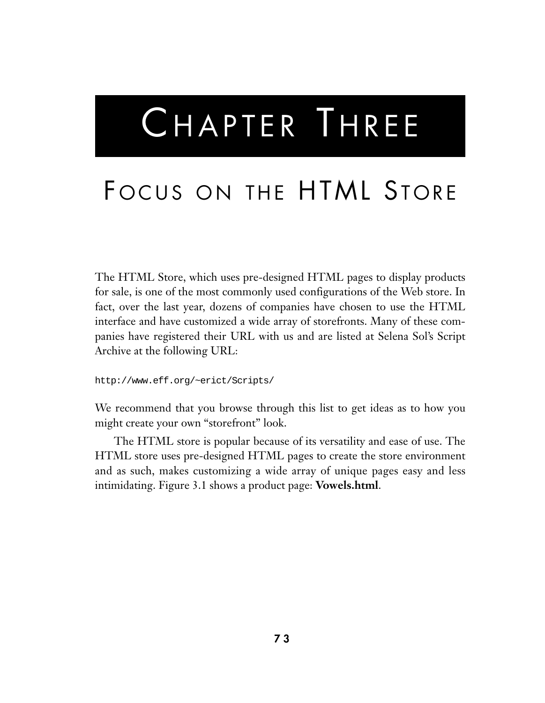# CHAPTER THREE

# FOCUS ON THE HTML STORE

The HTML Store, which uses pre-designed HTML pages to display products for sale, is one of the most commonly used configurations of the Web store. In fact, over the last year, dozens of companies have chosen to use the HTML interface and have customized a wide array of storefronts. Many of these companies have registered their URL with us and are listed at Selena Sol's Script Archive at the following URL:

http://www.eff.org/~erict/Scripts/

We recommend that you browse through this list to get ideas as to how you might create your own "storefront" look.

The HTML store is popular because of its versatility and ease of use. The HTML store uses pre-designed HTML pages to create the store environment and as such, makes customizing a wide array of unique pages easy and less intimidating. Figure 3.1 shows a product page: **Vowels.html**.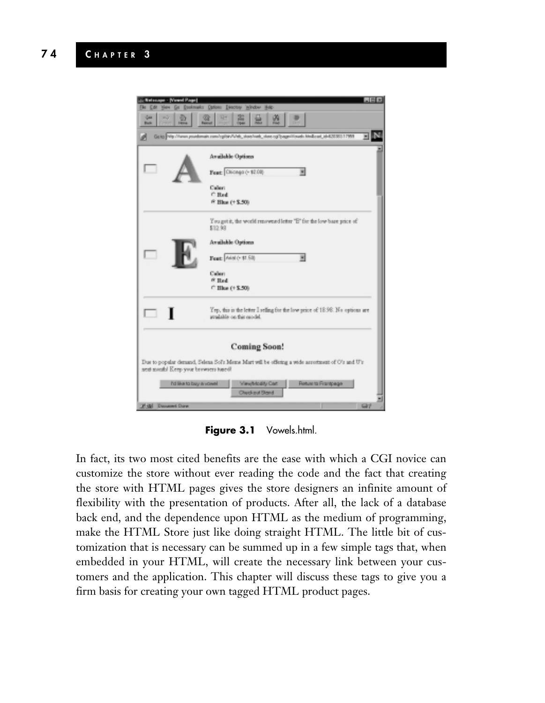

**Figure 3.1** Vowels.html.

In fact, its two most cited benefits are the ease with which a CGI novice can customize the store without ever reading the code and the fact that creating the store with HTML pages gives the store designers an infinite amount of flexibility with the presentation of products. After all, the lack of a database back end, and the dependence upon HTML as the medium of programming, make the HTML Store just like doing straight HTML. The little bit of customization that is necessary can be summed up in a few simple tags that, when embedded in your HTML, will create the necessary link between your customers and the application. This chapter will discuss these tags to give you a firm basis for creating your own tagged HTML product pages.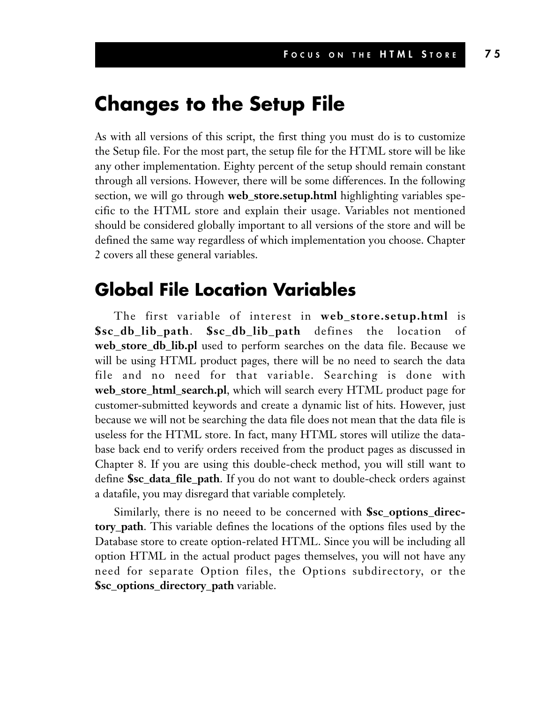#### **Changes to the Setup File**

As with all versions of this script, the first thing you must do is to customize the Setup file. For the most part, the setup file for the HTML store will be like any other implementation. Eighty percent of the setup should remain constant through all versions. However, there will be some differences. In the following section, we will go through **web\_store.setup.html** highlighting variables specific to the HTML store and explain their usage. Variables not mentioned should be considered globally important to all versions of the store and will be defined the same way regardless of which implementation you choose. Chapter 2 covers all these general variables.

#### **Global File Location Variables**

The first variable of interest in **web\_store.setup.html** is **\$sc\_db\_lib\_path**. **\$sc\_db\_lib\_path** defines the location of **web\_store\_db\_lib.pl** used to perform searches on the data file. Because we will be using HTML product pages, there will be no need to search the data file and no need for that variable. Searching is done with **web\_store\_html\_search.pl**, which will search every HTML product page for customer-submitted keywords and create a dynamic list of hits. However, just because we will not be searching the data file does not mean that the data file is useless for the HTML store. In fact, many HTML stores will utilize the database back end to verify orders received from the product pages as discussed in Chapter 8. If you are using this double-check method, you will still want to define **\$sc\_data\_file\_path**. If you do not want to double-check orders against a datafile, you may disregard that variable completely.

Similarly, there is no neeed to be concerned with **\$sc\_options\_directory\_path**. This variable defines the locations of the options files used by the Database store to create option-related HTML. Since you will be including all option HTML in the actual product pages themselves, you will not have any need for separate Option files, the Options subdirectory, or the **\$sc\_options\_directory\_path** variable.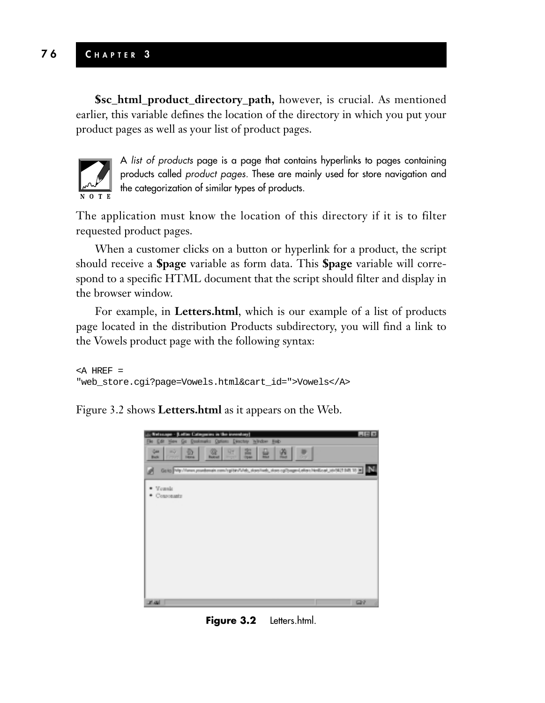**\$sc\_html\_product\_directory\_path,** however, is crucial. As mentioned earlier, this variable defines the location of the directory in which you put your product pages as well as your list of product pages.



A *list of products* page is a page that contains hyperlinks to pages containing products called *product pages.* These are mainly used for store navigation and the categorization of similar types of products.

The application must know the location of this directory if it is to filter requested product pages.

When a customer clicks on a button or hyperlink for a product, the script should receive a **\$page** variable as form data. This **\$page** variable will correspond to a specific HTML document that the script should filter and display in the browser window.

For example, in **Letters.html**, which is our example of a list of products page located in the distribution Products subdirectory, you will find a link to the Vowels product page with the following syntax:

```
<A HREF =
"web_store.cgi?page=Vowels.html&cart_id=">Vowels</A>
```
Figure 3.2 shows **Letters.html** as it appears on the Web.



Figure 3.2 Letters.html.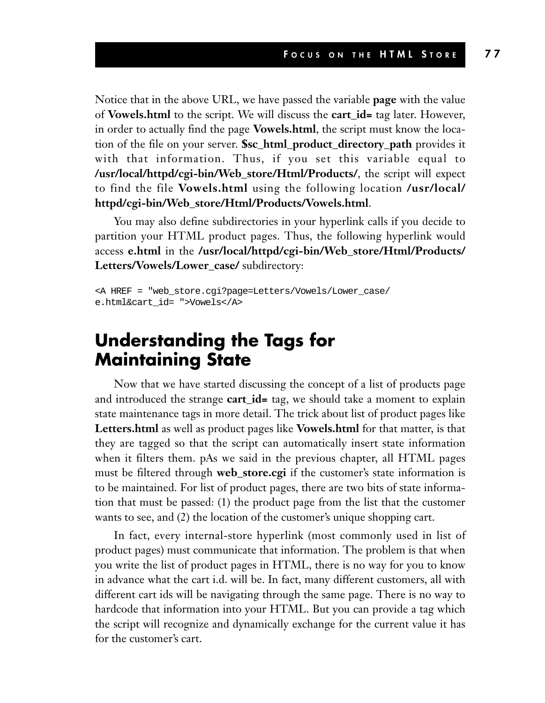Notice that in the above URL, we have passed the variable **page** with the value of **Vowels.html** to the script. We will discuss the **cart\_id=** tag later. However, in order to actually find the page **Vowels.html**, the script must know the location of the file on your server. **\$sc\_html\_product\_directory\_path** provides it with that information. Thus, if you set this variable equal to **/usr/local/httpd/cgi-bin/Web\_store/Html/Products/**, the script will expect to find the file **Vowels.html** using the following location **/usr/local/ httpd/cgi-bin/Web\_store/Html/Products/Vowels.html**.

You may also define subdirectories in your hyperlink calls if you decide to partition your HTML product pages. Thus, the following hyperlink would access **e.html** in the **/usr/local/httpd/cgi-bin/Web\_store/Html/Products/ Letters/Vowels/Lower\_case/** subdirectory:

```
<A HREF = "web_store.cgi?page=Letters/Vowels/Lower_case/
e.html&cart_id= ">Vowels</A>
```
#### **Understanding the Tags for Maintaining State**

Now that we have started discussing the concept of a list of products page and introduced the strange **cart\_id=** tag, we should take a moment to explain state maintenance tags in more detail. The trick about list of product pages like **Letters.html** as well as product pages like **Vowels.html** for that matter, is that they are tagged so that the script can automatically insert state information when it filters them. pAs we said in the previous chapter, all HTML pages must be filtered through **web\_store.cgi** if the customer's state information is to be maintained. For list of product pages, there are two bits of state information that must be passed: (1) the product page from the list that the customer wants to see, and (2) the location of the customer's unique shopping cart.

In fact, every internal-store hyperlink (most commonly used in list of product pages) must communicate that information. The problem is that when you write the list of product pages in HTML, there is no way for you to know in advance what the cart i.d. will be. In fact, many different customers, all with different cart ids will be navigating through the same page. There is no way to hardcode that information into your HTML. But you can provide a tag which the script will recognize and dynamically exchange for the current value it has for the customer's cart.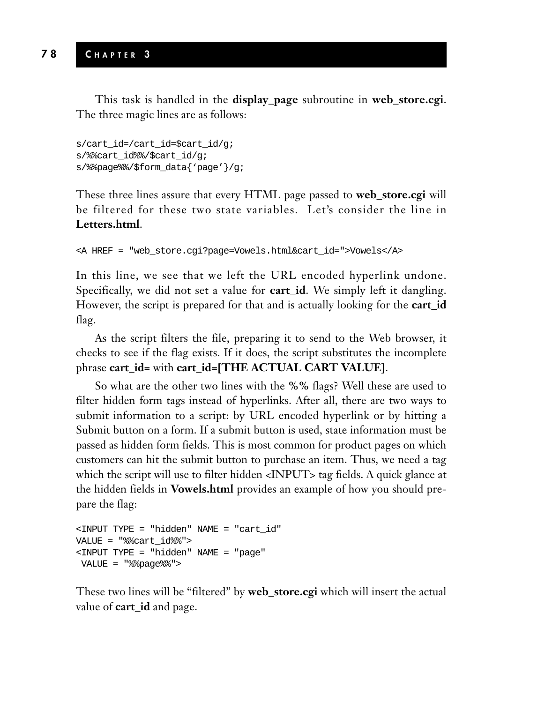This task is handled in the **display\_page** subroutine in **web\_store.cgi**. The three magic lines are as follows:

```
s/cart_id=/cart_id=$cart_id/g;
s/%%cart_id%%/$cart_id/g;
s/%%page%%/$form_data{'page'}/g;
```
These three lines assure that every HTML page passed to **web\_store.cgi** will be filtered for these two state variables. Let's consider the line in **Letters.html**.

```
<A HREF = "web_store.cgi?page=Vowels.html&cart_id=">Vowels</A>
```
In this line, we see that we left the URL encoded hyperlink undone. Specifically, we did not set a value for **cart\_id**. We simply left it dangling. However, the script is prepared for that and is actually looking for the **cart\_id** flag.

As the script filters the file, preparing it to send to the Web browser, it checks to see if the flag exists. If it does, the script substitutes the incomplete phrase **cart\_id=** with **cart\_id=[THE ACTUAL CART VALUE]**.

So what are the other two lines with the **%%** flags? Well these are used to filter hidden form tags instead of hyperlinks. After all, there are two ways to submit information to a script: by URL encoded hyperlink or by hitting a Submit button on a form. If a submit button is used, state information must be passed as hidden form fields. This is most common for product pages on which customers can hit the submit button to purchase an item. Thus, we need a tag which the script will use to filter hidden <INPUT> tag fields. A quick glance at the hidden fields in **Vowels.html** provides an example of how you should prepare the flag:

```
<INPUT TYPE = "hidden" NAME = "cart_id"
VALUE = "%%cart_id%%">
<INPUT TYPE = "hidden" NAME = "page"
VALUE = "%%page%%">
```
These two lines will be "filtered" by **web\_store.cgi** which will insert the actual value of **cart\_id** and page.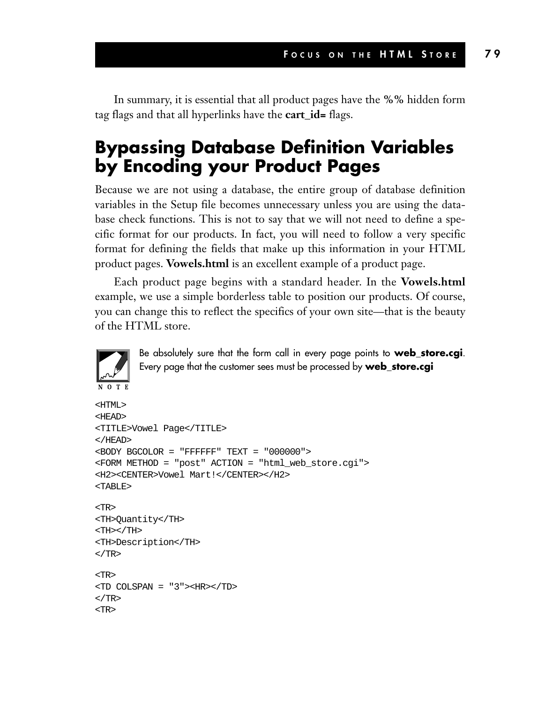In summary, it is essential that all product pages have the **%%** hidden form tag flags and that all hyperlinks have the **cart\_id=** flags.

#### **Bypassing Database Definition Variables by Encoding your Product Pages**

Because we are not using a database, the entire group of database definition variables in the Setup file becomes unnecessary unless you are using the database check functions. This is not to say that we will not need to define a specific format for our products. In fact, you will need to follow a very specific format for defining the fields that make up this information in your HTML product pages. **Vowels.html** is an excellent example of a product page.

Each product page begins with a standard header. In the **Vowels.html** example, we use a simple borderless table to position our products. Of course, you can change this to reflect the specifics of your own site—that is the beauty of the HTML store.



Be absolutely sure that the form call in every page points to **web\_store.cgi**. Every page that the customer sees must be processed by **web\_store.cgi**

```
<HTML>
<HEAD>
<TITLE>Vowel Page</TITLE>
</HEAD>
<BODY BGCOLOR = "FFFFFF" TEXT = "000000">
<FORM METHOD = "post" ACTION = "html_web_store.cgi">
<H2><CENTER>Vowel Mart!</CENTER></H2>
<TABLE>
<TR><TH>Quantity</TH>
<TH></TH>
<TH>Description</TH>
\langle /TR>TPTD<TD COLSPAN = "3"><HR></TD>
</TR><TR>
```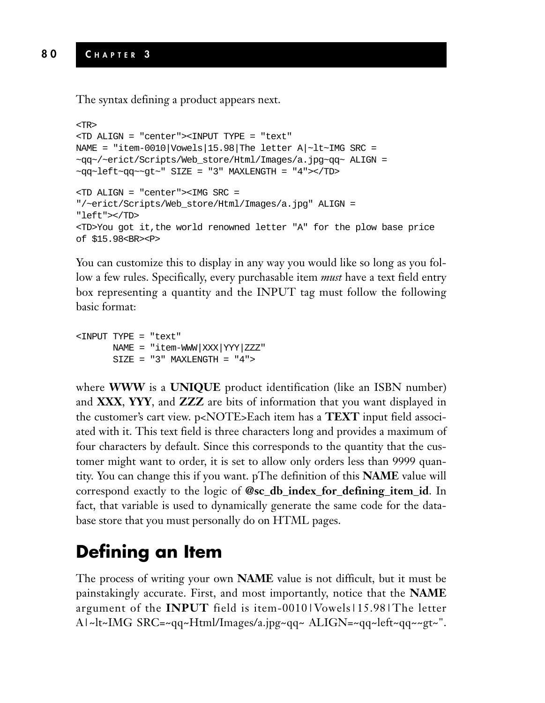The syntax defining a product appears next.

```
<TR>
<TD ALIGN = "center"><INPUT TYPE = "text"
NAME = "item-0010|Vowels|15.98|The letter A|~lt~IMG SRC =
~qq~/~erict/Scripts/Web_store/Html/Images/a.jpg~qq~ ALIGN =
~\simqq~\simleft~\simqq~\simgt~\sim" SIZE = "3" MAXLENGTH = "4"></TD>
<TD ALIGN = "center"><IMG SRC =
"/~erict/Scripts/Web_store/Html/Images/a.jpg" ALIGN =
"left"></TD>
<TD>You got it,the world renowned letter "A" for the plow base price
of $15.98<BR><P>
```
You can customize this to display in any way you would like so long as you follow a few rules. Specifically, every purchasable item *must* have a text field entry box representing a quantity and the INPUT tag must follow the following basic format:

```
<INPUT TYPE = "text"
      NAME = "item-WWW|XXX|YYY|ZZZ"
      SIZE = "3" MAXLENGTH = "4"
```
where **WWW** is a **UNIQUE** product identification (like an ISBN number) and **XXX**, **YYY**, and **ZZZ** are bits of information that you want displayed in the customer's cart view. p<NOTE>Each item has a **TEXT** input field associated with it. This text field is three characters long and provides a maximum of four characters by default. Since this corresponds to the quantity that the customer might want to order, it is set to allow only orders less than 9999 quantity. You can change this if you want. pThe definition of this **NAME** value will correspond exactly to the logic of **@sc\_db\_index\_for\_defining\_item\_id**. In fact, that variable is used to dynamically generate the same code for the database store that you must personally do on HTML pages.

## **Defining an Item**

The process of writing your own **NAME** value is not difficult, but it must be painstakingly accurate. First, and most importantly, notice that the **NAME** argument of the **INPUT** field is item-0010|Vowels|15.98|The letter A|~lt~IMG SRC=~qq~Html/Images/a.jpg~qq~ ALIGN=~qq~left~qq~~gt~".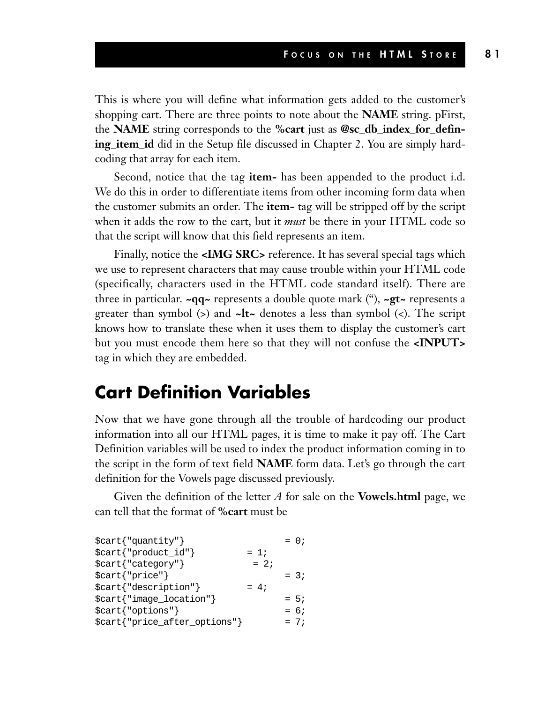This is where you will define what information gets added to the customer's shopping cart. There are three points to note about the **NAME** string. pFirst, the **NAME** string corresponds to the **%cart** just as **@sc\_db\_index\_for\_defining\_item\_id** did in the Setup file discussed in Chapter 2. You are simply hardcoding that array for each item.

Second, notice that the tag **item-** has been appended to the product i.d. We do this in order to differentiate items from other incoming form data when the customer submits an order. The **item-** tag will be stripped off by the script when it adds the row to the cart, but it *must* be there in your HTML code so that the script will know that this field represents an item.

Finally, notice the **<IMG SRC>** reference. It has several special tags which we use to represent characters that may cause trouble within your HTML code (specifically, characters used in the HTML code standard itself). There are three in particular. **~qq~** represents a double quote mark ("), **~gt~** represents a greater than symbol (>) and **~lt~** denotes a less than symbol (<). The script knows how to translate these when it uses them to display the customer's cart but you must encode them here so that they will not confuse the **<INPUT>** tag in which they are embedded.

#### **Cart Definition Variables**

Now that we have gone through all the trouble of hardcoding our product information into all our HTML pages, it is time to make it pay off. The Cart Definition variables will be used to index the product information coming in to the script in the form of text field **NAME** form data. Let's go through the cart definition for the Vowels page discussed previously.

Given the definition of the letter *A* for sale on the **Vowels.html** page, we can tell that the format of **%cart** must be

| \$cart{"quantity"}                 |        | $= 0;$ |
|------------------------------------|--------|--------|
| $\text{start}$ { "product_id" }    | $= 1i$ |        |
| \$cart{"category"}                 | $= 2i$ |        |
| \$cart{"price"}                    |        | $= 3i$ |
| $$cart$ {"description"}            | $= 4:$ |        |
| \$cart{"image_location"}           |        | $= 5:$ |
| $\text{Scart}$ $\text{'vortions'}$ |        | $= 6i$ |
| \$cart{"price_after_options"}      |        | $= 7i$ |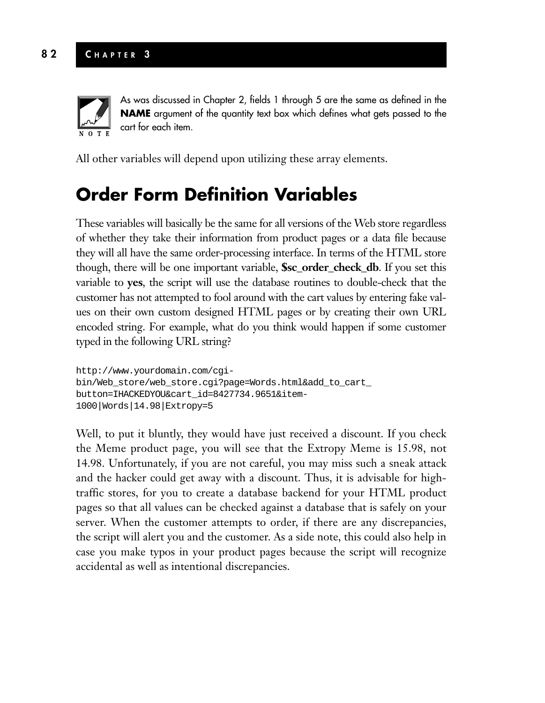

As was discussed in Chapter 2, fields 1 through 5 are the same as defined in the **NAME** argument of the quantity text box which defines what gets passed to the cart for each item.

All other variables will depend upon utilizing these array elements.

#### **Order Form Definition Variables**

These variables will basically be the same for all versions of the Web store regardless of whether they take their information from product pages or a data file because they will all have the same order-processing interface. In terms of the HTML store though, there will be one important variable, **\$sc\_order\_check\_db**. If you set this variable to **yes**, the script will use the database routines to double-check that the customer has not attempted to fool around with the cart values by entering fake values on their own custom designed HTML pages or by creating their own URL encoded string. For example, what do you think would happen if some customer typed in the following URL string?

```
http://www.yourdomain.com/cgi-
bin/Web_store/web_store.cgi?page=Words.html&add_to_cart_
button=IHACKEDYOU&cart_id=8427734.9651&item-
1000|Words|14.98|Extropy=5
```
Well, to put it bluntly, they would have just received a discount. If you check the Meme product page, you will see that the Extropy Meme is 15.98, not 14.98. Unfortunately, if you are not careful, you may miss such a sneak attack and the hacker could get away with a discount. Thus, it is advisable for hightraffic stores, for you to create a database backend for your HTML product pages so that all values can be checked against a database that is safely on your server. When the customer attempts to order, if there are any discrepancies, the script will alert you and the customer. As a side note, this could also help in case you make typos in your product pages because the script will recognize accidental as well as intentional discrepancies.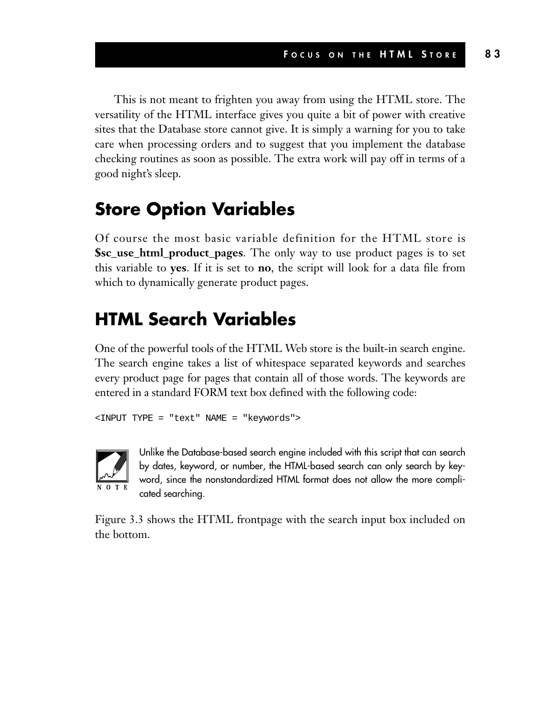This is not meant to frighten you away from using the HTML store. The versatility of the HTML interface gives you quite a bit of power with creative sites that the Database store cannot give. It is simply a warning for you to take care when processing orders and to suggest that you implement the database checking routines as soon as possible. The extra work will pay off in terms of a good night's sleep.

#### **Store Option Variables**

Of course the most basic variable definition for the HTML store is **\$sc\_use\_html\_product\_pages**. The only way to use product pages is to set this variable to **yes**. If it is set to **no**, the script will look for a data file from which to dynamically generate product pages.

#### **HTML Search Variables**

One of the powerful tools of the HTML Web store is the built-in search engine. The search engine takes a list of whitespace separated keywords and searches every product page for pages that contain all of those words. The keywords are entered in a standard FORM text box defined with the following code:

```
<INPUT TYPE = "text" NAME = "keywords">
```


Unlike the Database-based search engine included with this script that can search by dates, keyword, or number, the HTML-based search can only search by keyword, since the nonstandardized HTML format does not allow the more complicated searching.

Figure 3.3 shows the HTML frontpage with the search input box included on the bottom.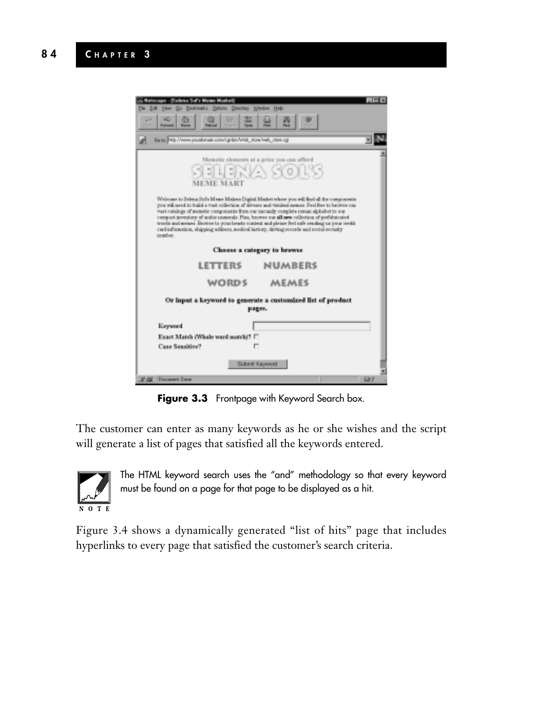| rcepe - (Selena Sof's Memo Market)<br>View Go Dockmarks Options Directory Window Help<br><b>Edk</b><br>œ<br>92<br>æ<br>÷<br><b>SHOW</b><br><b>Fand</b><br><b>Porcent</b><br><b>Down</b><br><b>Fakuud</b><br>-                                                                                                                                                                                                                                                                                                                                                                            | . olx |  |  |
|------------------------------------------------------------------------------------------------------------------------------------------------------------------------------------------------------------------------------------------------------------------------------------------------------------------------------------------------------------------------------------------------------------------------------------------------------------------------------------------------------------------------------------------------------------------------------------------|-------|--|--|
| Earlie PVS//www.soutbanain.com/cg/bin/iv/eb_store/web_stere.cg                                                                                                                                                                                                                                                                                                                                                                                                                                                                                                                           |       |  |  |
| Memetic elements at a price you can afford<br>SELENA SORS<br><b>MEME MART</b>                                                                                                                                                                                                                                                                                                                                                                                                                                                                                                            |       |  |  |
| Welcome to Seleca Sof's Meme Makers Digital Masket where you will find all the components<br>you will need to build a vast reflection of diveste and vistilent neeres. Feel free to become our<br>vari cataloge of nemetic components from our uncanily romplets roman alphabet to our<br>compact inventory of unitie numerals. Fine, browse our all new collection of profidented.<br>words and memer. Browse to your beasts content and glease feel safe sending us your reeds.<br>card information, shipping address, medical history, driving records and social security<br>number. |       |  |  |
| Choose a category to browse                                                                                                                                                                                                                                                                                                                                                                                                                                                                                                                                                              |       |  |  |
| <b>LETTERS</b><br><b>NUMBERS</b>                                                                                                                                                                                                                                                                                                                                                                                                                                                                                                                                                         |       |  |  |
| WORDS<br>MEMES                                                                                                                                                                                                                                                                                                                                                                                                                                                                                                                                                                           |       |  |  |
| Or input a keyword to generate a customized list of product<br>pages.                                                                                                                                                                                                                                                                                                                                                                                                                                                                                                                    |       |  |  |
| Koyword                                                                                                                                                                                                                                                                                                                                                                                                                                                                                                                                                                                  |       |  |  |
| Exact Match (Whale ward match)? [7]                                                                                                                                                                                                                                                                                                                                                                                                                                                                                                                                                      |       |  |  |
| <b>Case Sensitive?</b>                                                                                                                                                                                                                                                                                                                                                                                                                                                                                                                                                                   |       |  |  |
| Submit Kayword<br><b>W-6M</b> Document Done                                                                                                                                                                                                                                                                                                                                                                                                                                                                                                                                              | 537   |  |  |

**Figure 3.3** Frontpage with Keyword Search box.

The customer can enter as many keywords as he or she wishes and the script will generate a list of pages that satisfied all the keywords entered.



The HTML keyword search uses the "and" methodology so that every keyword must be found on a page for that page to be displayed as a hit.

Figure 3.4 shows a dynamically generated "list of hits" page that includes hyperlinks to every page that satisfied the customer's search criteria.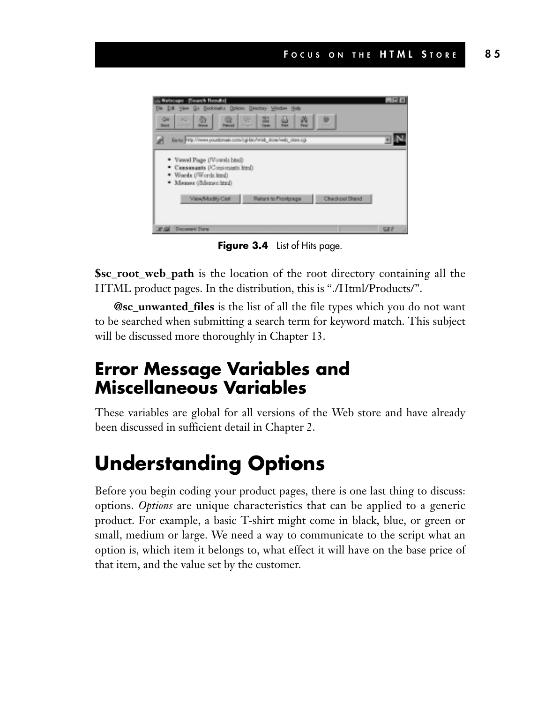

**Figure 3.4** List of Hits page.

**\$sc\_root\_web\_path** is the location of the root directory containing all the HTML product pages. In the distribution, this is "./Html/Products/".

**@sc\_unwanted\_files** is the list of all the file types which you do not want to be searched when submitting a search term for keyword match. This subject will be discussed more thoroughly in Chapter 13.

#### **Error Message Variables and Miscellaneous Variables**

These variables are global for all versions of the Web store and have already been discussed in sufficient detail in Chapter 2.

## **Understanding Options**

Before you begin coding your product pages, there is one last thing to discuss: options. *Options* are unique characteristics that can be applied to a generic product. For example, a basic T-shirt might come in black, blue, or green or small, medium or large. We need a way to communicate to the script what an option is, which item it belongs to, what effect it will have on the base price of that item, and the value set by the customer.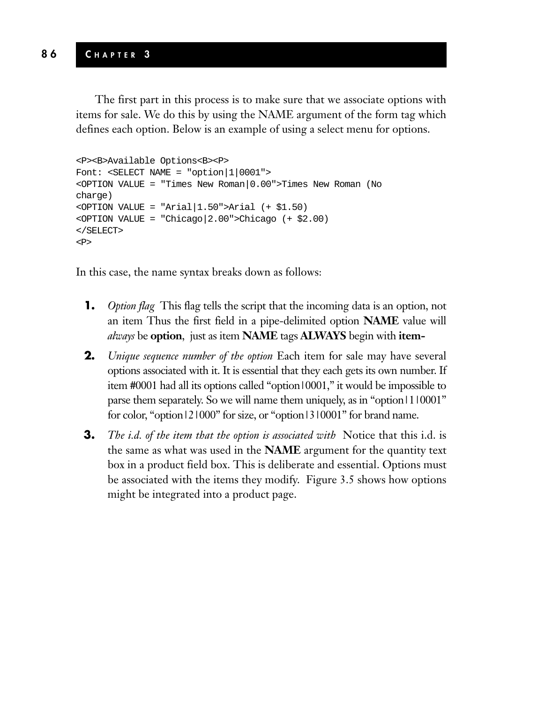The first part in this process is to make sure that we associate options with items for sale. We do this by using the NAME argument of the form tag which defines each option. Below is an example of using a select menu for options.

```
<P><B>Available Options<B><P>
Font: <SELECT NAME = "option|1|0001">
<OPTION VALUE = "Times New Roman|0.00">Times New Roman (No
charge)
<OPTION VALUE = "Arial|1.50">Arial (+ $1.50)
<OPTION VALUE = "Chicago|2.00">Chicago (+ $2.00)
</SELECT>
<\!\!P\!\!>
```
In this case, the name syntax breaks down as follows:

- **1.** *Option flag* This flag tells the script that the incoming data is an option, not an item Thus the first field in a pipe-delimited option **NAME** value will *always* be **option**, just as item **NAME** tags **ALWAYS** begin with **item-**
- **2.** *Unique sequence number of the option* Each item for sale may have several options associated with it. It is essential that they each gets its own number. If item #0001 had all its options called "option|0001," it would be impossible to parse them separately. So we will name them uniquely, as in "option|1|0001" for color, "option|2|000" for size, or "option|3|0001" for brand name.
- **3.** *The i.d. of the item that the option is associated with* Notice that this i.d. is the same as what was used in the **NAME** argument for the quantity text box in a product field box. This is deliberate and essential. Options must be associated with the items they modify. Figure 3.5 shows how options might be integrated into a product page.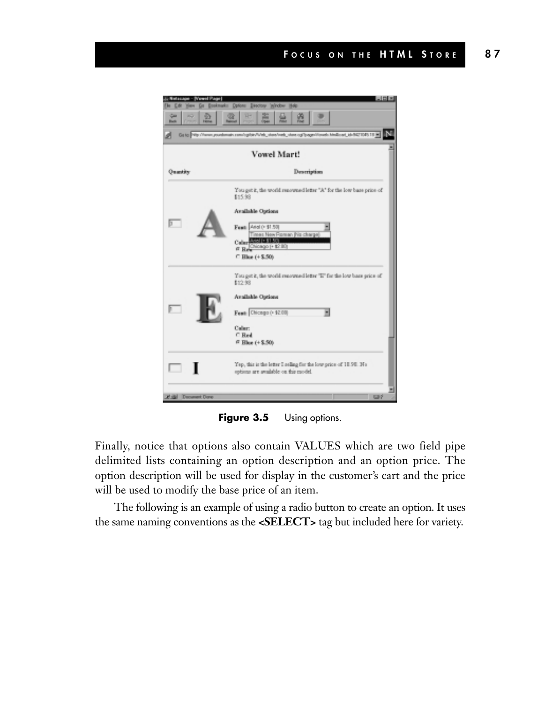

Figure 3.5 Using options.

Finally, notice that options also contain VALUES which are two field pipe delimited lists containing an option description and an option price. The option description will be used for display in the customer's cart and the price will be used to modify the base price of an item.

The following is an example of using a radio button to create an option. It uses the same naming conventions as the **<SELECT>** tag but included here for variety.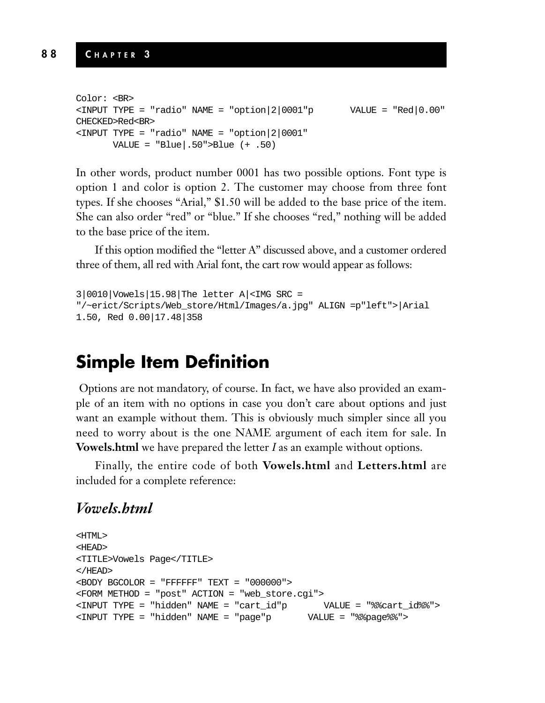```
Color: <BR>
\text{S/NPUT} TYPE = "radio" NAME = "option |2|0001"p \text{VALUE} = "Red|0.00"
CHECKED>Red<BR>
\text{NATE} = \text{Y} = \text{Y} = \text{N} = \text{N} = \text{V} = \text{N} = 2.0001VALUE = \text{Blue}.50">Blue (+ .50)
```
In other words, product number 0001 has two possible options. Font type is option 1 and color is option 2. The customer may choose from three font types. If she chooses "Arial," \$1.50 will be added to the base price of the item. She can also order "red" or "blue." If she chooses "red," nothing will be added to the base price of the item.

If this option modified the "letter A" discussed above, and a customer ordered three of them, all red with Arial font, the cart row would appear as follows:

```
3|0010|Vowels|15.98|The letter A|<IMG SRC =
"/~erict/Scripts/Web_store/Html/Images/a.jpg" ALIGN =p"left">|Arial
1.50, Red 0.00|17.48|358
```
#### **Simple Item Definition**

Options are not mandatory, of course. In fact, we have also provided an example of an item with no options in case you don't care about options and just want an example without them. This is obviously much simpler since all you need to worry about is the one NAME argument of each item for sale. In **Vowels.html** we have prepared the letter *I* as an example without options.

Finally, the entire code of both **Vowels.html** and **Letters.html** are included for a complete reference:

#### *Vowels.html*

```
<HTML>
<HEAD>
<TITLE>Vowels Page</TITLE>
</HEAD>
<BODY BGCOLOR = "FFFFFF" TEXT = "000000">
<FORM METHOD = "post" ACTION = "web_store.cgi">
<INPUT TYPE = "hidden" NAME = "cart_id"p VALUE = "%%cart_id%%">
<INPUT TYPE = "hidden" NAME = "page"p VALUE = "%%page%%">
```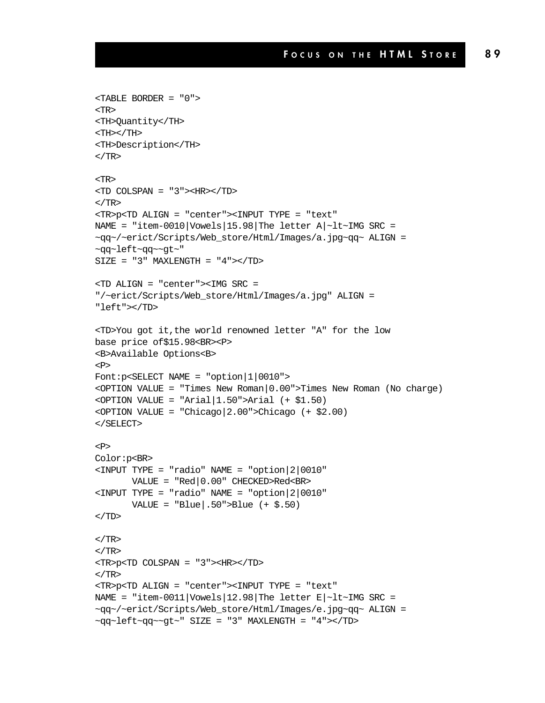```
<TABLE BORDER = "0">
<TR>
<TH>Quantity</TH>
<TH></TH><TH>Description</TH>
</TR><TR>
<TD COLSPAN = "3"><HR></TD>
</TR><TR>p<TD ALIGN = "center"><INPUT TYPE = "text"
NAME = "item-0010|Vowels|15.98|The letter A|~lt~IMG SRC =
~qq~/~erict/Scripts/Web_store/Html/Images/a.jpg~qq~ ALIGN =
~qq~left~qq~~gt~"
SIZE = "3" MAXLENGTH = "4"><TD><TD ALIGN = "center"><IMG SRC =
"/~erict/Scripts/Web_store/Html/Images/a.jpg" ALIGN =
"left"></TD>
<TD>You got it,the world renowned letter "A" for the low
base price of$15.98<BR><P>
<B>Available Options<B>
PFont:p<SELECT NAME = "option|1|0010">
<OPTION VALUE = "Times New Roman|0.00">Times New Roman (No charge)
\text{OPTION VALUE} = \text{''Arial} \left( 1.50 \text{''} \text{Arial} \left( + $1.50 \right) \right)<OPTION VALUE = "Chicago|2.00">Chicago (+ $2.00)
</SELECT>
PColor:p<BR>
<INPUT TYPE = "radio" NAME = "option|2|0010"
       VALUE = "Red|0.00" CHECKED>Red<BR>
<INPUT TYPE = "radio" NAME = "option|2|0010"
       VALUE = "Blue|.50">\nBlue (+ $.50")\rm </TD</TR></TR><TR>p<TD COLSPAN = "3"><HR></TD>
</TR><TR>p<TD ALIGN = "center"><INPUT TYPE = "text"
NAME = "item-0011|Vowels|12.98|The letter E\sim1t~IMG SRC =
~qq~/~erict/Scripts/Web_store/Html/Images/e.jpg~qq~ ALIGN =
~\simqq~\simleft~\simqq~\simqt~\sim" SIZE = "3" MAXLENGTH = "4"></TD>
```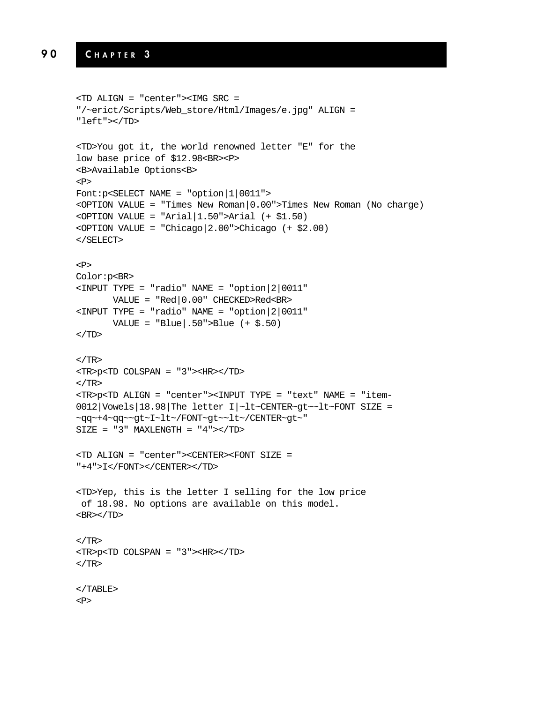#### **9 0 C HAPTER 3**

```
<TD ALIGN = "center"><IMG SRC =
"/~erict/Scripts/Web_store/Html/Images/e.jpg" ALIGN =
"left"></TD>
<TD>You got it, the world renowned letter "E" for the
low base price of $12.98<BR><P>
<B>Available Options<B>
<P>
Font:p<SELECT NAME = "option|1|0011">
<OPTION VALUE = "Times New Roman|0.00">Times New Roman (No charge)
<OPTION VALUE = "Arial|1.50">Arial (+ $1.50)
<OPTION VALUE = "Chicago|2.00">Chicago (+ $2.00)
</SELECT>
PColor:p<BR>
<INPUT TYPE = "radio" NAME = "option|2|0011"
      VALUE = "Red|0.00" CHECKED>Red<BR>
<INPUT TYPE = "radio" NAME = "option|2|0011"
      VALUE = \text{Blue}.50">Blue (+ $.50)
</TD>\langle TR><TR>p<TD COLSPAN = "3"><HR></TD>
</TR><TR>p<TD ALIGN = "center"><INPUT TYPE = "text" NAME = "item-
0012|Vowels|18.98|The letter I|~lt~CENTER~gt~~lt~FONT SIZE =
~qq~+4~qq~~gt~I~lt~/FONT~gt~~lt~/CENTER~gt~"
SIZE = "3" MAXLENGTH = "4"><TD><TD ALIGN = "center"><CENTER><FONT SIZE =
"+4">I</FONT></CENTER></TD>
<TD>Yep, this is the letter I selling for the low price
of 18.98. No options are available on this model.
<BR></TD>
</TR><TR>p<TD COLSPAN = "3"><HR></TD>
</TR></TABLE>
<P>
```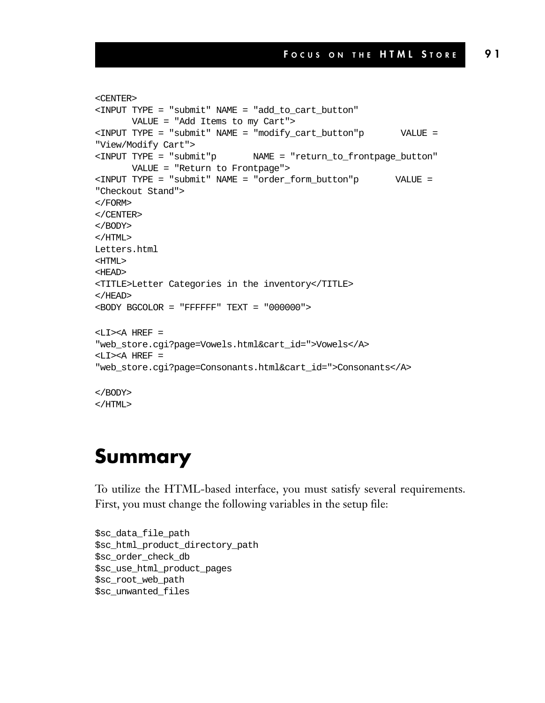```
<CENTER>
<INPUT TYPE = "submit" NAME = "add_to_cart_button"
      VALUE = "Add Items to my Cart">
<INPUT TYPE = "submit" NAME = "modify_cart_button"p VALUE =
"View/Modify Cart">
<INPUT TYPE = "submit"p NAME = "return_to_frontpage_button"
      VALUE = "Return to Frontpage">
<INPUT TYPE = "submit" NAME = "order_form_button"p VALUE =
"Checkout Stand">
</FORM>
</CENTER>
</BODY>
</HTML>
Letters.html
<HTML>
<HEAD>
<TITLE>Letter Categories in the inventory</TITLE>
</HEAD>
<BODY BGCOLOR = "FFFFFF" TEXT = "000000">
<LI><A HREF =
"web_store.cgi?page=Vowels.html&cart_id=">Vowels</A>
<LI><A HREF =
"web_store.cgi?page=Consonants.html&cart_id=">Consonants</A>
</BODY>
</HTML>
```
#### **Summary**

To utilize the HTML-based interface, you must satisfy several requirements. First, you must change the following variables in the setup file:

```
$sc_data_file_path
$sc_html_product_directory_path
$sc_order_check_db
$sc_use_html_product_pages
$sc_root_web_path
$sc_unwanted_files
```